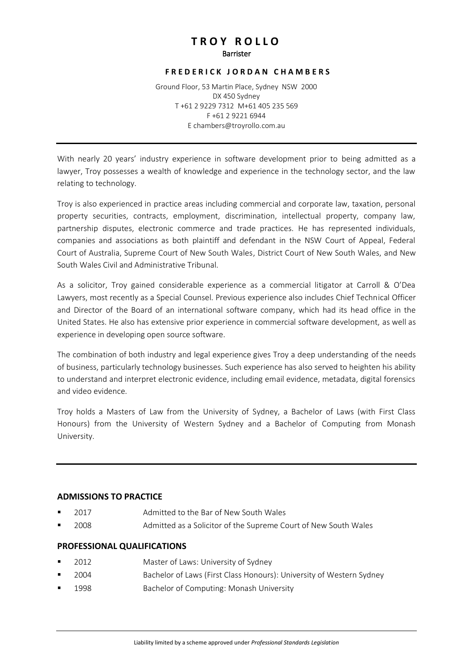# **T R O Y R O L L O**  Barrister

### **F R E D E R I C K J O R D A N C H A M B E R S**

Ground Floor, 53 Martin Place, Sydney NSW 2000 DX 450 Sydney T +61 2 9229 7312 M+61 405 235 569 F +61 2 9221 6944 E chambers@troyrollo.com.au

With nearly 20 years' industry experience in software development prior to being admitted as a lawyer, Troy possesses a wealth of knowledge and experience in the technology sector, and the law relating to technology.

Troy is also experienced in practice areas including commercial and corporate law, taxation, personal property securities, contracts, employment, discrimination, intellectual property, company law, partnership disputes, electronic commerce and trade practices. He has represented individuals, companies and associations as both plaintiff and defendant in the NSW Court of Appeal, Federal Court of Australia, Supreme Court of New South Wales, District Court of New South Wales, and New South Wales Civil and Administrative Tribunal.

As a solicitor, Troy gained considerable experience as a commercial litigator at Carroll & O'Dea Lawyers, most recently as a Special Counsel. Previous experience also includes Chief Technical Officer and Director of the Board of an international software company, which had its head office in the United States. He also has extensive prior experience in commercial software development, as well as experience in developing open source software.

The combination of both industry and legal experience gives Troy a deep understanding of the needs of business, particularly technology businesses. Such experience has also served to heighten his ability to understand and interpret electronic evidence, including email evidence, metadata, digital forensics and video evidence.

Troy holds a Masters of Law from the University of Sydney, a Bachelor of Laws (with First Class Honours) from the University of Western Sydney and a Bachelor of Computing from Monash University.

### **ADMISSIONS TO PRACTICE**

- 2017 **Admitted to the Bar of New South Wales**
- 2008 Admitted as a Solicitor of the Supreme Court of New South Wales

### **PROFESSIONAL QUALIFICATIONS**

- 2012 Master of Laws: University of Sydney
- 2004 Bachelor of Laws (First Class Honours): University of Western Sydney
- 1998 Bachelor of Computing: Monash University